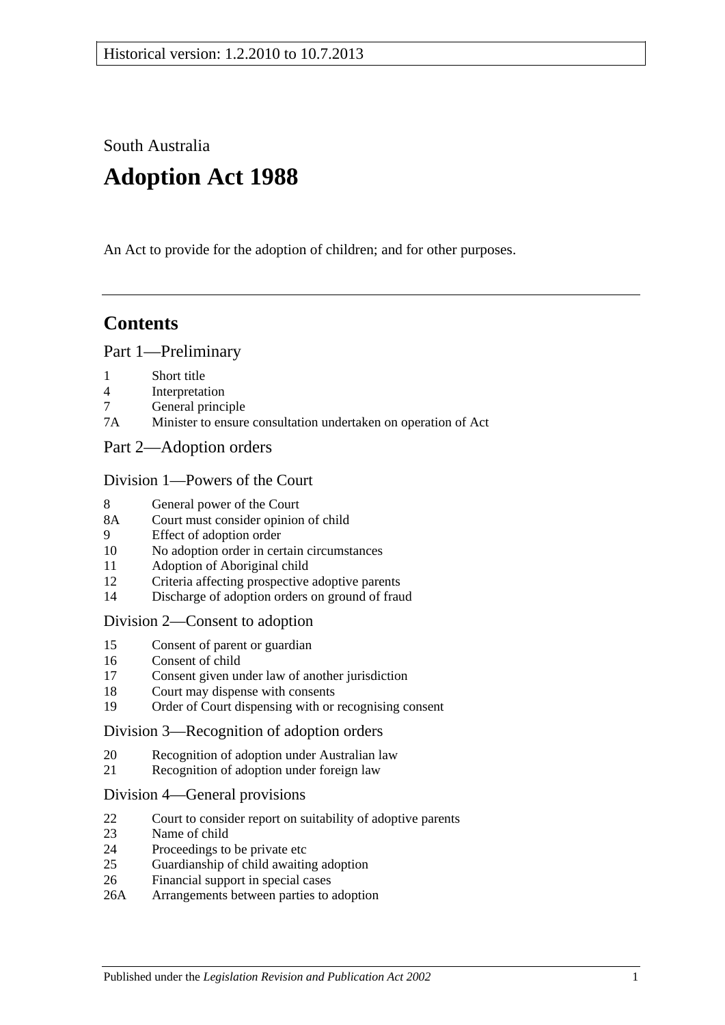South Australia

# **Adoption Act 1988**

An Act to provide for the adoption of children; and for other purposes.

# **Contents**

#### [Part 1—Preliminary](#page-1-0)

- 1 [Short title](#page-1-1)
- 4 [Interpretation](#page-1-2)
- 7 [General principle](#page-3-0)
- 7A [Minister to ensure consultation undertaken on operation of Act](#page-3-1)
- [Part 2—Adoption orders](#page-3-2)

#### [Division 1—Powers of the Court](#page-3-3)

- 8 [General power of the Court](#page-3-4)
- 8A [Court must consider opinion of child](#page-3-5)
- 9 [Effect of adoption order](#page-4-0)
- 10 [No adoption order in certain circumstances](#page-4-1)
- 11 [Adoption of Aboriginal child](#page-4-2)
- 12 [Criteria affecting prospective adoptive parents](#page-5-0)
- 14 [Discharge of adoption orders on ground of fraud](#page-5-1)

#### [Division 2—Consent to adoption](#page-5-2)

- 15 [Consent of parent or guardian](#page-5-3)
- 16 [Consent of child](#page-6-0)
- 17 [Consent given under law of another jurisdiction](#page-7-0)
- 18 [Court may dispense with consents](#page-7-1)
- 19 [Order of Court dispensing with or recognising consent](#page-7-2)

#### [Division 3—Recognition of adoption orders](#page-8-0)

- 20 [Recognition of adoption under Australian law](#page-8-1)
- 21 [Recognition of adoption under foreign law](#page-8-2)

#### [Division 4—General provisions](#page-8-3)

- 22 [Court to consider report on suitability of adoptive parents](#page-8-4)
- 23 [Name of child](#page-9-0)
- 24 [Proceedings to be private etc](#page-9-1)
- 25 [Guardianship of child awaiting adoption](#page-9-2)
- 26 [Financial support in special cases](#page-10-0)
- 26A [Arrangements between parties to adoption](#page-10-1)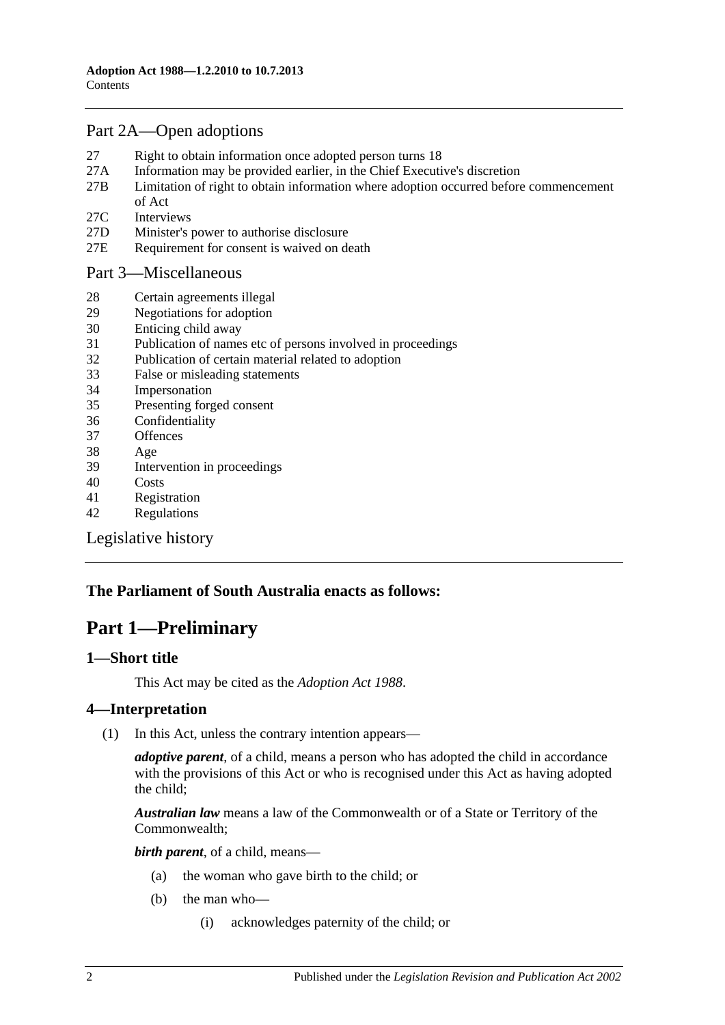# [Part 2A—Open adoptions](#page-11-0)

- 27 [Right to obtain information once adopted person turns 18](#page-11-1)
- 27A [Information may be provided earlier, in the Chief Executive's discretion](#page-12-0)
- 27B [Limitation of right to obtain information where adoption occurred before commencement](#page-12-1)  [of Act](#page-12-1)
- 27C [Interviews](#page-13-0)
- 27D [Minister's power to authorise disclosure](#page-13-1)
- 27E [Requirement for consent is waived on death](#page-13-2)

#### [Part 3—Miscellaneous](#page-13-3)

- 28 [Certain agreements illegal](#page-13-4)
- 29 [Negotiations for adoption](#page-13-5)
- 30 [Enticing child away](#page-14-0)
- 31 [Publication of names etc of persons involved in proceedings](#page-14-1)
- 32 [Publication of certain material related to adoption](#page-14-2)
- 33 [False or misleading statements](#page-15-0)
- 34 [Impersonation](#page-15-1)
- 35 [Presenting forged consent](#page-15-2)
- 36 [Confidentiality](#page-15-3)
- 37 [Offences](#page-15-4)
- 38 [Age](#page-15-5)
- 39 [Intervention in proceedings](#page-15-6)
- 40 [Costs](#page-16-0)
- 41 [Registration](#page-16-1)
- 42 [Regulations](#page-16-2)

[Legislative history](#page-18-0)

# <span id="page-1-0"></span>**The Parliament of South Australia enacts as follows:**

# **Part 1—Preliminary**

#### <span id="page-1-1"></span>**1—Short title**

This Act may be cited as the *Adoption Act 1988*.

## <span id="page-1-2"></span>**4—Interpretation**

(1) In this Act, unless the contrary intention appears—

*adoptive parent*, of a child, means a person who has adopted the child in accordance with the provisions of this Act or who is recognised under this Act as having adopted the child;

*Australian law* means a law of the Commonwealth or of a State or Territory of the Commonwealth;

*birth parent*, of a child, means—

- (a) the woman who gave birth to the child; or
- (b) the man who—
	- (i) acknowledges paternity of the child; or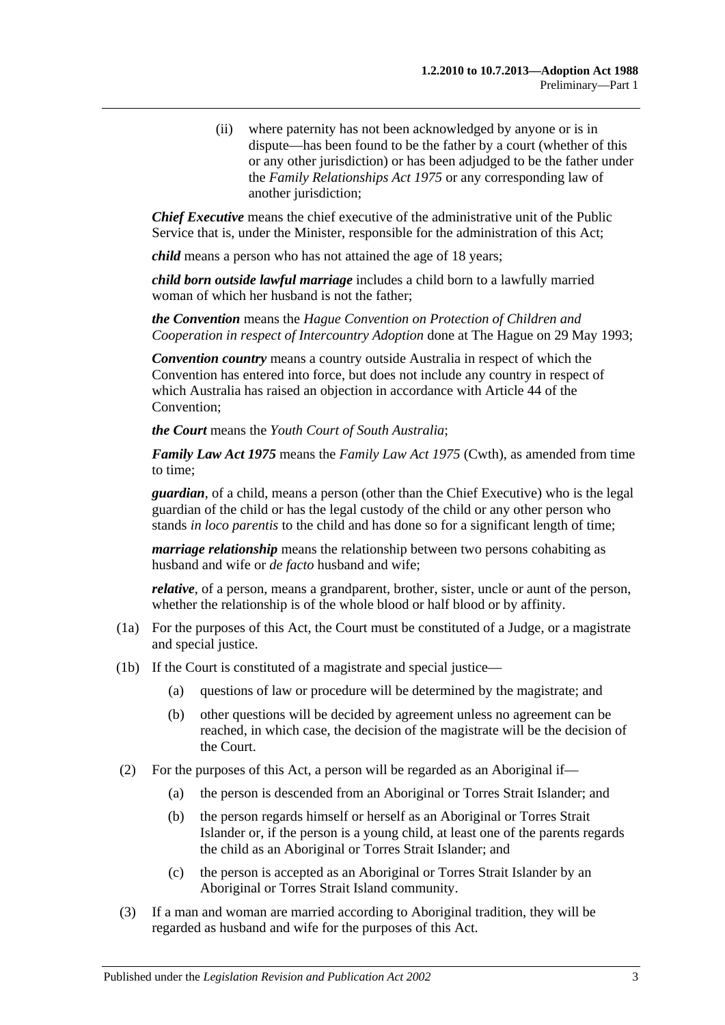(ii) where paternity has not been acknowledged by anyone or is in dispute—has been found to be the father by a court (whether of this or any other jurisdiction) or has been adjudged to be the father under the *[Family Relationships Act](http://www.legislation.sa.gov.au/index.aspx?action=legref&type=act&legtitle=Family%20Relationships%20Act%201975) 1975* or any corresponding law of another jurisdiction;

*Chief Executive* means the chief executive of the administrative unit of the Public Service that is, under the Minister, responsible for the administration of this Act;

*child* means a person who has not attained the age of 18 years;

*child born outside lawful marriage* includes a child born to a lawfully married woman of which her husband is not the father;

*the Convention* means the *Hague Convention on Protection of Children and Cooperation in respect of Intercountry Adoption* done at The Hague on 29 May 1993;

*Convention country* means a country outside Australia in respect of which the Convention has entered into force, but does not include any country in respect of which Australia has raised an objection in accordance with Article 44 of the Convention;

*the Court* means the *Youth Court of South Australia*;

*Family Law Act 1975* means the *Family Law Act 1975* (Cwth), as amended from time to time;

*guardian*, of a child, means a person (other than the Chief Executive) who is the legal guardian of the child or has the legal custody of the child or any other person who stands *in loco parentis* to the child and has done so for a significant length of time;

*marriage relationship* means the relationship between two persons cohabiting as husband and wife or *de facto* husband and wife;

*relative*, of a person, means a grandparent, brother, sister, uncle or aunt of the person, whether the relationship is of the whole blood or half blood or by affinity.

- (1a) For the purposes of this Act, the Court must be constituted of a Judge, or a magistrate and special justice.
- (1b) If the Court is constituted of a magistrate and special justice—
	- (a) questions of law or procedure will be determined by the magistrate; and
	- (b) other questions will be decided by agreement unless no agreement can be reached, in which case, the decision of the magistrate will be the decision of the Court.
- (2) For the purposes of this Act, a person will be regarded as an Aboriginal if—
	- (a) the person is descended from an Aboriginal or Torres Strait Islander; and
	- (b) the person regards himself or herself as an Aboriginal or Torres Strait Islander or, if the person is a young child, at least one of the parents regards the child as an Aboriginal or Torres Strait Islander; and
	- (c) the person is accepted as an Aboriginal or Torres Strait Islander by an Aboriginal or Torres Strait Island community.
- (3) If a man and woman are married according to Aboriginal tradition, they will be regarded as husband and wife for the purposes of this Act.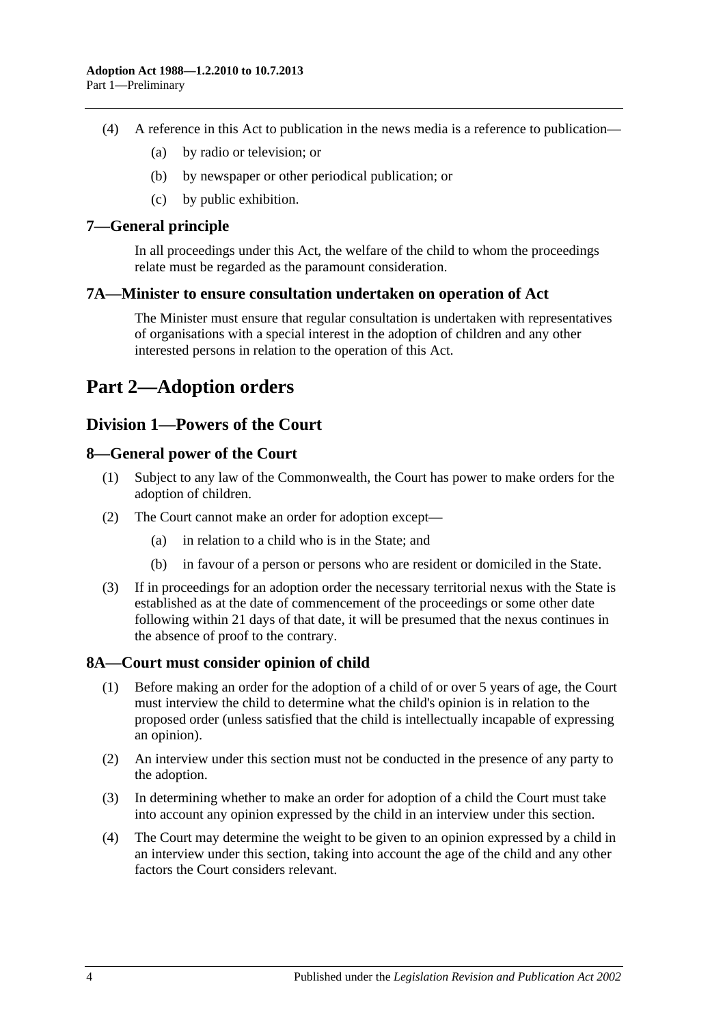- (4) A reference in this Act to publication in the news media is a reference to publication—
	- (a) by radio or television; or
	- (b) by newspaper or other periodical publication; or
	- (c) by public exhibition.

## <span id="page-3-0"></span>**7—General principle**

In all proceedings under this Act, the welfare of the child to whom the proceedings relate must be regarded as the paramount consideration.

#### <span id="page-3-1"></span>**7A—Minister to ensure consultation undertaken on operation of Act**

The Minister must ensure that regular consultation is undertaken with representatives of organisations with a special interest in the adoption of children and any other interested persons in relation to the operation of this Act.

# <span id="page-3-2"></span>**Part 2—Adoption orders**

# <span id="page-3-3"></span>**Division 1—Powers of the Court**

## <span id="page-3-4"></span>**8—General power of the Court**

- (1) Subject to any law of the Commonwealth, the Court has power to make orders for the adoption of children.
- (2) The Court cannot make an order for adoption except—
	- (a) in relation to a child who is in the State; and
	- (b) in favour of a person or persons who are resident or domiciled in the State.
- (3) If in proceedings for an adoption order the necessary territorial nexus with the State is established as at the date of commencement of the proceedings or some other date following within 21 days of that date, it will be presumed that the nexus continues in the absence of proof to the contrary.

## <span id="page-3-5"></span>**8A—Court must consider opinion of child**

- (1) Before making an order for the adoption of a child of or over 5 years of age, the Court must interview the child to determine what the child's opinion is in relation to the proposed order (unless satisfied that the child is intellectually incapable of expressing an opinion).
- (2) An interview under this section must not be conducted in the presence of any party to the adoption.
- (3) In determining whether to make an order for adoption of a child the Court must take into account any opinion expressed by the child in an interview under this section.
- (4) The Court may determine the weight to be given to an opinion expressed by a child in an interview under this section, taking into account the age of the child and any other factors the Court considers relevant.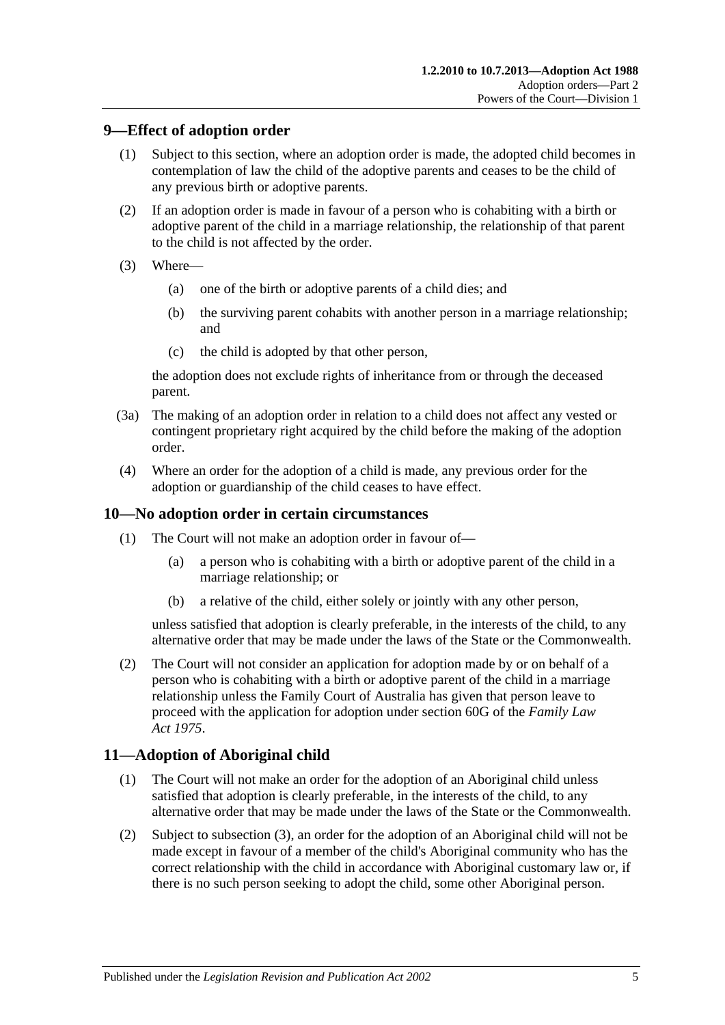## <span id="page-4-0"></span>**9—Effect of adoption order**

- (1) Subject to this section, where an adoption order is made, the adopted child becomes in contemplation of law the child of the adoptive parents and ceases to be the child of any previous birth or adoptive parents.
- (2) If an adoption order is made in favour of a person who is cohabiting with a birth or adoptive parent of the child in a marriage relationship, the relationship of that parent to the child is not affected by the order.
- (3) Where—
	- (a) one of the birth or adoptive parents of a child dies; and
	- (b) the surviving parent cohabits with another person in a marriage relationship; and
	- (c) the child is adopted by that other person,

the adoption does not exclude rights of inheritance from or through the deceased parent.

- (3a) The making of an adoption order in relation to a child does not affect any vested or contingent proprietary right acquired by the child before the making of the adoption order.
- (4) Where an order for the adoption of a child is made, any previous order for the adoption or guardianship of the child ceases to have effect.

## <span id="page-4-1"></span>**10—No adoption order in certain circumstances**

- (1) The Court will not make an adoption order in favour of—
	- (a) a person who is cohabiting with a birth or adoptive parent of the child in a marriage relationship; or
	- (b) a relative of the child, either solely or jointly with any other person,

unless satisfied that adoption is clearly preferable, in the interests of the child, to any alternative order that may be made under the laws of the State or the Commonwealth.

(2) The Court will not consider an application for adoption made by or on behalf of a person who is cohabiting with a birth or adoptive parent of the child in a marriage relationship unless the Family Court of Australia has given that person leave to proceed with the application for adoption under section 60G of the *Family Law Act 1975*.

# <span id="page-4-2"></span>**11—Adoption of Aboriginal child**

- (1) The Court will not make an order for the adoption of an Aboriginal child unless satisfied that adoption is clearly preferable, in the interests of the child, to any alternative order that may be made under the laws of the State or the Commonwealth.
- (2) Subject to [subsection](#page-5-4) (3), an order for the adoption of an Aboriginal child will not be made except in favour of a member of the child's Aboriginal community who has the correct relationship with the child in accordance with Aboriginal customary law or, if there is no such person seeking to adopt the child, some other Aboriginal person.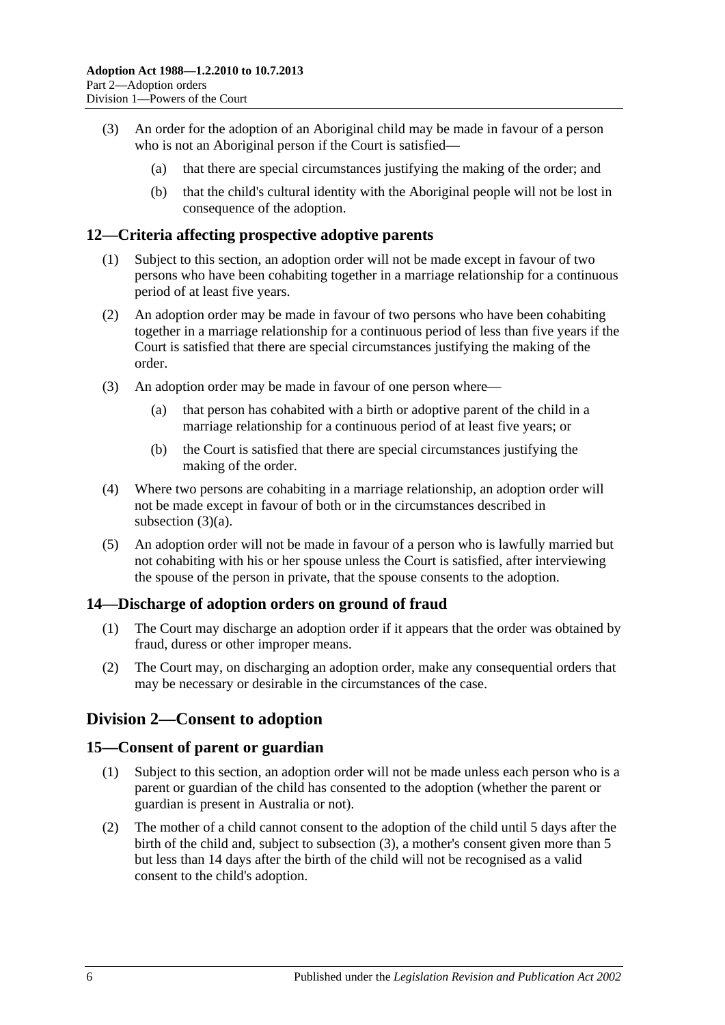- <span id="page-5-4"></span>(3) An order for the adoption of an Aboriginal child may be made in favour of a person who is not an Aboriginal person if the Court is satisfied—
	- (a) that there are special circumstances justifying the making of the order; and
	- (b) that the child's cultural identity with the Aboriginal people will not be lost in consequence of the adoption.

## <span id="page-5-0"></span>**12—Criteria affecting prospective adoptive parents**

- (1) Subject to this section, an adoption order will not be made except in favour of two persons who have been cohabiting together in a marriage relationship for a continuous period of at least five years.
- (2) An adoption order may be made in favour of two persons who have been cohabiting together in a marriage relationship for a continuous period of less than five years if the Court is satisfied that there are special circumstances justifying the making of the order.
- <span id="page-5-5"></span>(3) An adoption order may be made in favour of one person where—
	- (a) that person has cohabited with a birth or adoptive parent of the child in a marriage relationship for a continuous period of at least five years; or
	- (b) the Court is satisfied that there are special circumstances justifying the making of the order.
- (4) Where two persons are cohabiting in a marriage relationship, an adoption order will not be made except in favour of both or in the circumstances described in [subsection](#page-5-5) (3)(a).
- (5) An adoption order will not be made in favour of a person who is lawfully married but not cohabiting with his or her spouse unless the Court is satisfied, after interviewing the spouse of the person in private, that the spouse consents to the adoption.

# <span id="page-5-1"></span>**14—Discharge of adoption orders on ground of fraud**

- (1) The Court may discharge an adoption order if it appears that the order was obtained by fraud, duress or other improper means.
- (2) The Court may, on discharging an adoption order, make any consequential orders that may be necessary or desirable in the circumstances of the case.

# <span id="page-5-2"></span>**Division 2—Consent to adoption**

## <span id="page-5-3"></span>**15—Consent of parent or guardian**

- (1) Subject to this section, an adoption order will not be made unless each person who is a parent or guardian of the child has consented to the adoption (whether the parent or guardian is present in Australia or not).
- (2) The mother of a child cannot consent to the adoption of the child until 5 days after the birth of the child and, subject to [subsection](#page-6-1) (3), a mother's consent given more than 5 but less than 14 days after the birth of the child will not be recognised as a valid consent to the child's adoption.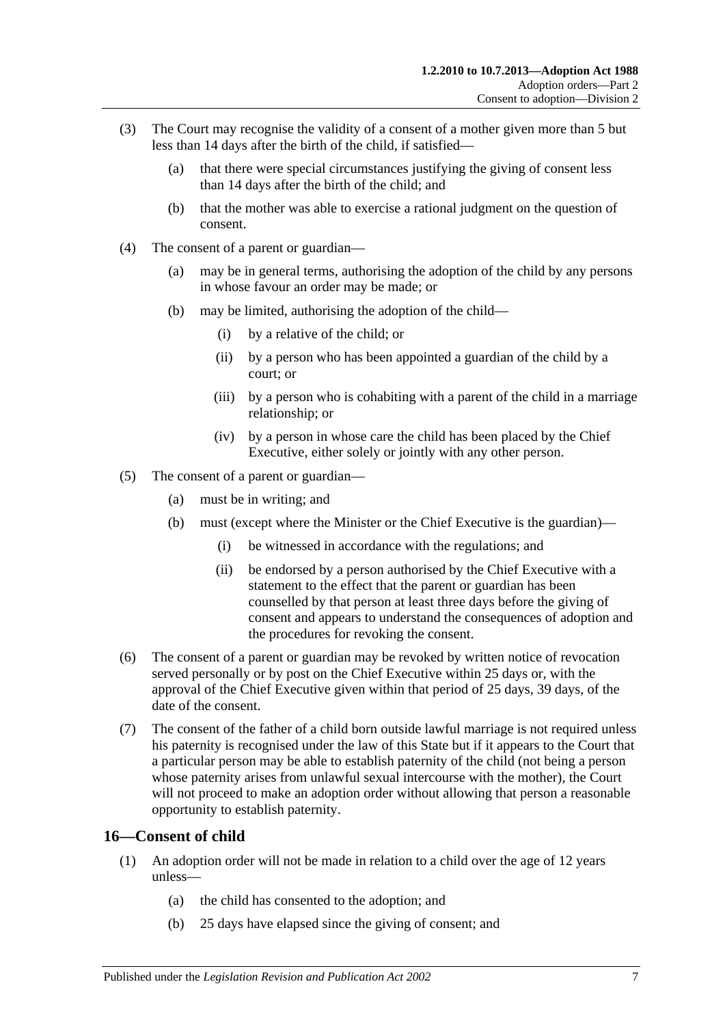- <span id="page-6-1"></span>(3) The Court may recognise the validity of a consent of a mother given more than 5 but less than 14 days after the birth of the child, if satisfied—
	- (a) that there were special circumstances justifying the giving of consent less than 14 days after the birth of the child; and
	- (b) that the mother was able to exercise a rational judgment on the question of consent.
- (4) The consent of a parent or guardian—
	- (a) may be in general terms, authorising the adoption of the child by any persons in whose favour an order may be made; or
	- (b) may be limited, authorising the adoption of the child—
		- (i) by a relative of the child; or
		- (ii) by a person who has been appointed a guardian of the child by a court; or
		- (iii) by a person who is cohabiting with a parent of the child in a marriage relationship; or
		- (iv) by a person in whose care the child has been placed by the Chief Executive, either solely or jointly with any other person.
- (5) The consent of a parent or guardian—
	- (a) must be in writing; and
	- (b) must (except where the Minister or the Chief Executive is the guardian)—
		- (i) be witnessed in accordance with the regulations; and
		- (ii) be endorsed by a person authorised by the Chief Executive with a statement to the effect that the parent or guardian has been counselled by that person at least three days before the giving of consent and appears to understand the consequences of adoption and the procedures for revoking the consent.
- (6) The consent of a parent or guardian may be revoked by written notice of revocation served personally or by post on the Chief Executive within 25 days or, with the approval of the Chief Executive given within that period of 25 days, 39 days, of the date of the consent.
- (7) The consent of the father of a child born outside lawful marriage is not required unless his paternity is recognised under the law of this State but if it appears to the Court that a particular person may be able to establish paternity of the child (not being a person whose paternity arises from unlawful sexual intercourse with the mother), the Court will not proceed to make an adoption order without allowing that person a reasonable opportunity to establish paternity.

## <span id="page-6-0"></span>**16—Consent of child**

- (1) An adoption order will not be made in relation to a child over the age of 12 years unless—
	- (a) the child has consented to the adoption; and
	- (b) 25 days have elapsed since the giving of consent; and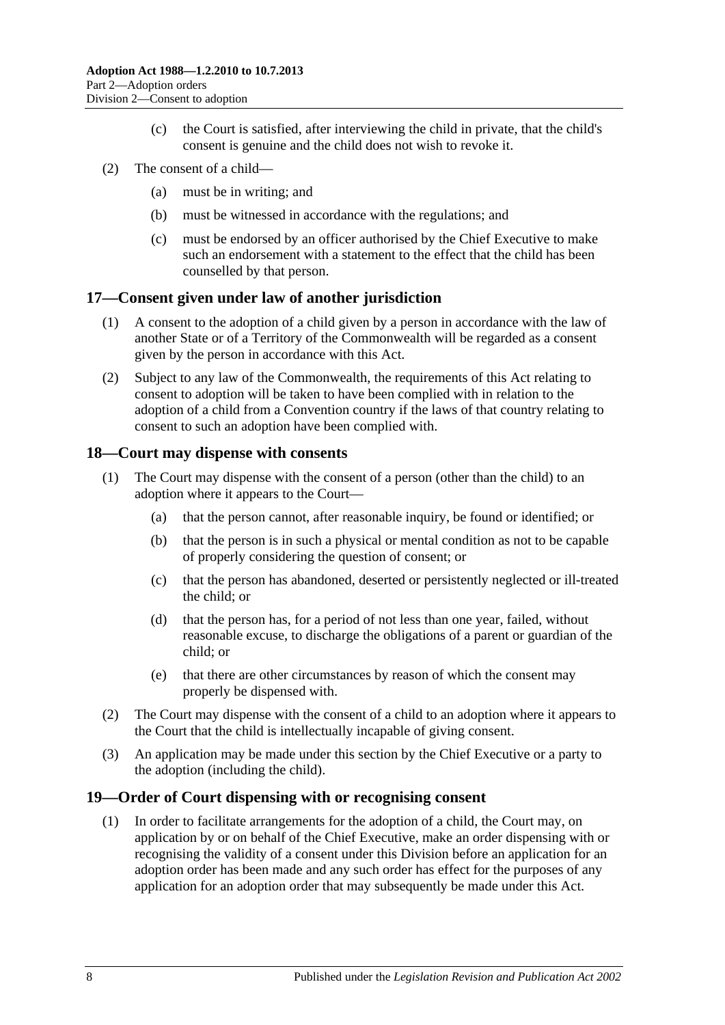- (c) the Court is satisfied, after interviewing the child in private, that the child's consent is genuine and the child does not wish to revoke it.
- (2) The consent of a child—
	- (a) must be in writing; and
	- (b) must be witnessed in accordance with the regulations; and
	- (c) must be endorsed by an officer authorised by the Chief Executive to make such an endorsement with a statement to the effect that the child has been counselled by that person.

#### <span id="page-7-0"></span>**17—Consent given under law of another jurisdiction**

- (1) A consent to the adoption of a child given by a person in accordance with the law of another State or of a Territory of the Commonwealth will be regarded as a consent given by the person in accordance with this Act.
- (2) Subject to any law of the Commonwealth, the requirements of this Act relating to consent to adoption will be taken to have been complied with in relation to the adoption of a child from a Convention country if the laws of that country relating to consent to such an adoption have been complied with.

#### <span id="page-7-1"></span>**18—Court may dispense with consents**

- (1) The Court may dispense with the consent of a person (other than the child) to an adoption where it appears to the Court—
	- (a) that the person cannot, after reasonable inquiry, be found or identified; or
	- (b) that the person is in such a physical or mental condition as not to be capable of properly considering the question of consent; or
	- (c) that the person has abandoned, deserted or persistently neglected or ill-treated the child; or
	- (d) that the person has, for a period of not less than one year, failed, without reasonable excuse, to discharge the obligations of a parent or guardian of the child; or
	- (e) that there are other circumstances by reason of which the consent may properly be dispensed with.
- (2) The Court may dispense with the consent of a child to an adoption where it appears to the Court that the child is intellectually incapable of giving consent.
- (3) An application may be made under this section by the Chief Executive or a party to the adoption (including the child).

#### <span id="page-7-3"></span><span id="page-7-2"></span>**19—Order of Court dispensing with or recognising consent**

(1) In order to facilitate arrangements for the adoption of a child, the Court may, on application by or on behalf of the Chief Executive, make an order dispensing with or recognising the validity of a consent under this Division before an application for an adoption order has been made and any such order has effect for the purposes of any application for an adoption order that may subsequently be made under this Act.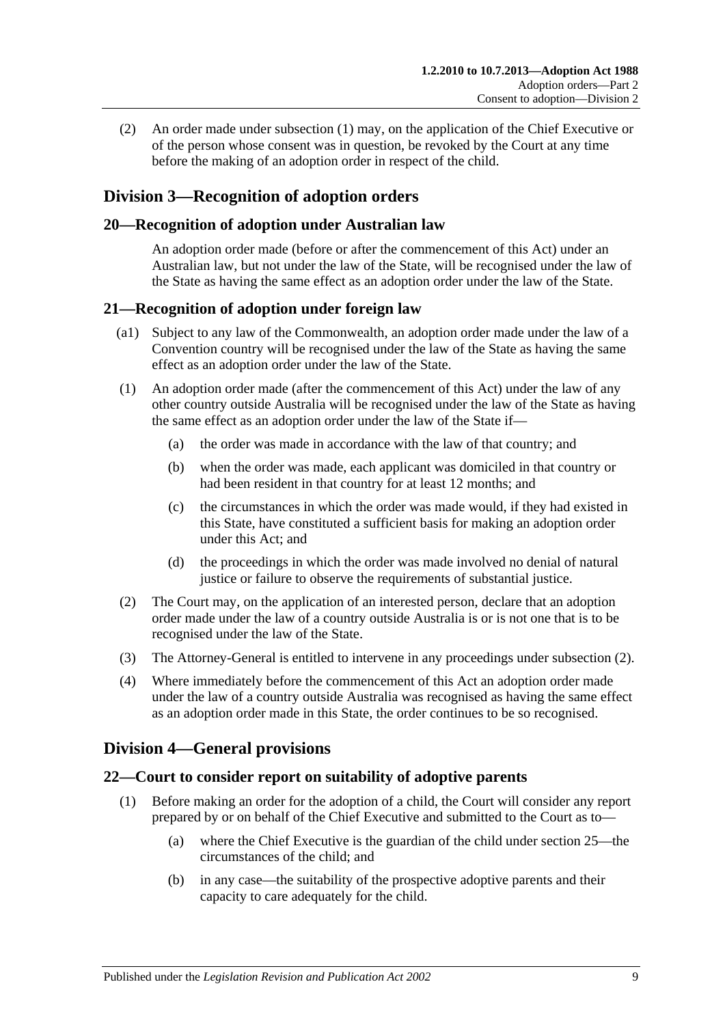(2) An order made under [subsection](#page-7-3) (1) may, on the application of the Chief Executive or of the person whose consent was in question, be revoked by the Court at any time before the making of an adoption order in respect of the child.

# <span id="page-8-0"></span>**Division 3—Recognition of adoption orders**

## <span id="page-8-1"></span>**20—Recognition of adoption under Australian law**

An adoption order made (before or after the commencement of this Act) under an Australian law, but not under the law of the State, will be recognised under the law of the State as having the same effect as an adoption order under the law of the State.

## <span id="page-8-2"></span>**21—Recognition of adoption under foreign law**

- (a1) Subject to any law of the Commonwealth, an adoption order made under the law of a Convention country will be recognised under the law of the State as having the same effect as an adoption order under the law of the State.
- (1) An adoption order made (after the commencement of this Act) under the law of any other country outside Australia will be recognised under the law of the State as having the same effect as an adoption order under the law of the State if—
	- (a) the order was made in accordance with the law of that country; and
	- (b) when the order was made, each applicant was domiciled in that country or had been resident in that country for at least 12 months; and
	- (c) the circumstances in which the order was made would, if they had existed in this State, have constituted a sufficient basis for making an adoption order under this Act; and
	- (d) the proceedings in which the order was made involved no denial of natural justice or failure to observe the requirements of substantial justice.
- <span id="page-8-5"></span>(2) The Court may, on the application of an interested person, declare that an adoption order made under the law of a country outside Australia is or is not one that is to be recognised under the law of the State.
- (3) The Attorney-General is entitled to intervene in any proceedings under [subsection](#page-8-5) (2).
- (4) Where immediately before the commencement of this Act an adoption order made under the law of a country outside Australia was recognised as having the same effect as an adoption order made in this State, the order continues to be so recognised.

# <span id="page-8-3"></span>**Division 4—General provisions**

# <span id="page-8-6"></span><span id="page-8-4"></span>**22—Court to consider report on suitability of adoptive parents**

- (1) Before making an order for the adoption of a child, the Court will consider any report prepared by or on behalf of the Chief Executive and submitted to the Court as to—
	- (a) where the Chief Executive is the guardian of the child under [section](#page-9-2) 25—the circumstances of the child; and
	- (b) in any case—the suitability of the prospective adoptive parents and their capacity to care adequately for the child.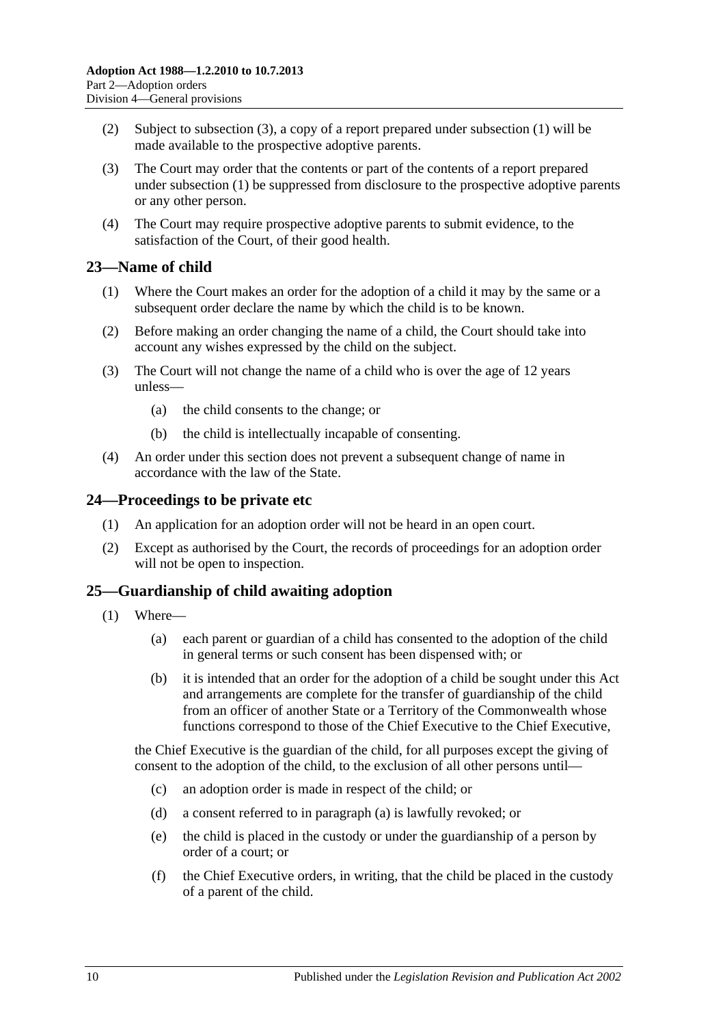- (2) Subject to [subsection](#page-9-3) (3), a copy of a report prepared under [subsection](#page-8-6) (1) will be made available to the prospective adoptive parents.
- <span id="page-9-3"></span>(3) The Court may order that the contents or part of the contents of a report prepared under [subsection](#page-8-6) (1) be suppressed from disclosure to the prospective adoptive parents or any other person.
- (4) The Court may require prospective adoptive parents to submit evidence, to the satisfaction of the Court, of their good health.

# <span id="page-9-0"></span>**23—Name of child**

- (1) Where the Court makes an order for the adoption of a child it may by the same or a subsequent order declare the name by which the child is to be known.
- (2) Before making an order changing the name of a child, the Court should take into account any wishes expressed by the child on the subject.
- (3) The Court will not change the name of a child who is over the age of 12 years unless—
	- (a) the child consents to the change; or
	- (b) the child is intellectually incapable of consenting.
- (4) An order under this section does not prevent a subsequent change of name in accordance with the law of the State.

## <span id="page-9-1"></span>**24—Proceedings to be private etc**

- (1) An application for an adoption order will not be heard in an open court.
- (2) Except as authorised by the Court, the records of proceedings for an adoption order will not be open to inspection.

## <span id="page-9-2"></span>**25—Guardianship of child awaiting adoption**

- <span id="page-9-4"></span>(1) Where—
	- (a) each parent or guardian of a child has consented to the adoption of the child in general terms or such consent has been dispensed with; or
	- (b) it is intended that an order for the adoption of a child be sought under this Act and arrangements are complete for the transfer of guardianship of the child from an officer of another State or a Territory of the Commonwealth whose functions correspond to those of the Chief Executive to the Chief Executive,

the Chief Executive is the guardian of the child, for all purposes except the giving of consent to the adoption of the child, to the exclusion of all other persons until—

- (c) an adoption order is made in respect of the child; or
- (d) a consent referred to in [paragraph](#page-9-4) (a) is lawfully revoked; or
- (e) the child is placed in the custody or under the guardianship of a person by order of a court; or
- (f) the Chief Executive orders, in writing, that the child be placed in the custody of a parent of the child.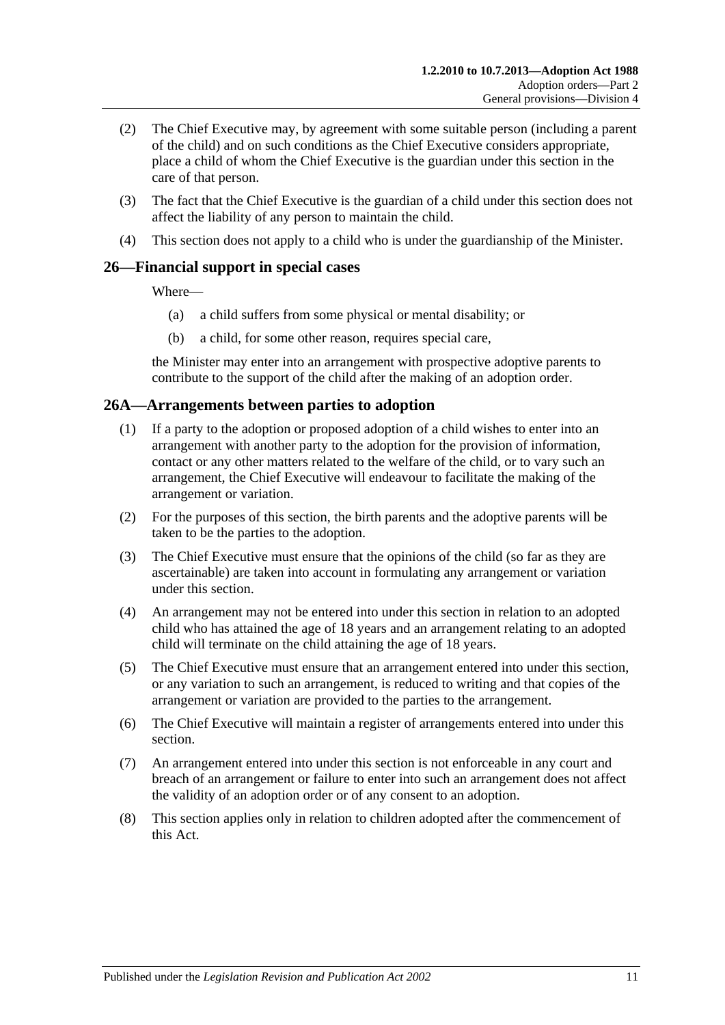- (2) The Chief Executive may, by agreement with some suitable person (including a parent of the child) and on such conditions as the Chief Executive considers appropriate, place a child of whom the Chief Executive is the guardian under this section in the care of that person.
- (3) The fact that the Chief Executive is the guardian of a child under this section does not affect the liability of any person to maintain the child.
- (4) This section does not apply to a child who is under the guardianship of the Minister.

# <span id="page-10-0"></span>**26—Financial support in special cases**

Where—

- (a) a child suffers from some physical or mental disability; or
- (b) a child, for some other reason, requires special care,

the Minister may enter into an arrangement with prospective adoptive parents to contribute to the support of the child after the making of an adoption order.

## <span id="page-10-1"></span>**26A—Arrangements between parties to adoption**

- (1) If a party to the adoption or proposed adoption of a child wishes to enter into an arrangement with another party to the adoption for the provision of information, contact or any other matters related to the welfare of the child, or to vary such an arrangement, the Chief Executive will endeavour to facilitate the making of the arrangement or variation.
- (2) For the purposes of this section, the birth parents and the adoptive parents will be taken to be the parties to the adoption.
- (3) The Chief Executive must ensure that the opinions of the child (so far as they are ascertainable) are taken into account in formulating any arrangement or variation under this section.
- (4) An arrangement may not be entered into under this section in relation to an adopted child who has attained the age of 18 years and an arrangement relating to an adopted child will terminate on the child attaining the age of 18 years.
- (5) The Chief Executive must ensure that an arrangement entered into under this section, or any variation to such an arrangement, is reduced to writing and that copies of the arrangement or variation are provided to the parties to the arrangement.
- (6) The Chief Executive will maintain a register of arrangements entered into under this section.
- (7) An arrangement entered into under this section is not enforceable in any court and breach of an arrangement or failure to enter into such an arrangement does not affect the validity of an adoption order or of any consent to an adoption.
- (8) This section applies only in relation to children adopted after the commencement of this Act.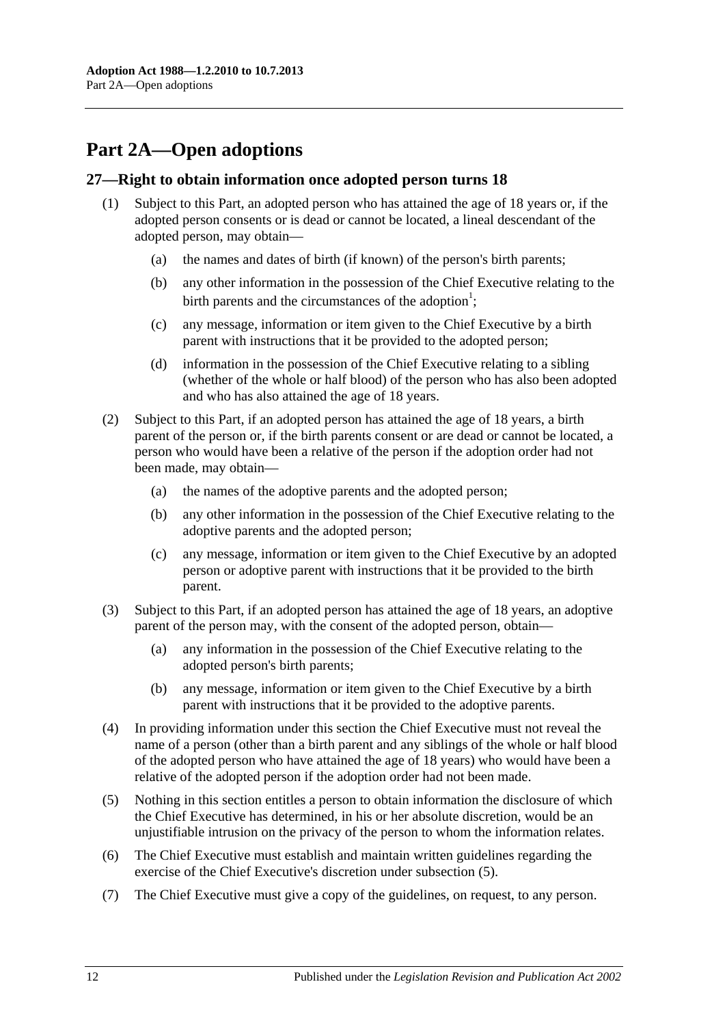# <span id="page-11-0"></span>**Part 2A—Open adoptions**

## <span id="page-11-1"></span>**27—Right to obtain information once adopted person turns 18**

- (1) Subject to this Part, an adopted person who has attained the age of 18 years or, if the adopted person consents or is dead or cannot be located, a lineal descendant of the adopted person, may obtain—
	- (a) the names and dates of birth (if known) of the person's birth parents;
	- (b) any other information in the possession of the Chief Executive relating to the birth parents and the circumstances of the adoption<sup>1</sup>;
	- (c) any message, information or item given to the Chief Executive by a birth parent with instructions that it be provided to the adopted person;
	- (d) information in the possession of the Chief Executive relating to a sibling (whether of the whole or half blood) of the person who has also been adopted and who has also attained the age of 18 years.
- (2) Subject to this Part, if an adopted person has attained the age of 18 years, a birth parent of the person or, if the birth parents consent or are dead or cannot be located, a person who would have been a relative of the person if the adoption order had not been made, may obtain—
	- (a) the names of the adoptive parents and the adopted person;
	- (b) any other information in the possession of the Chief Executive relating to the adoptive parents and the adopted person;
	- (c) any message, information or item given to the Chief Executive by an adopted person or adoptive parent with instructions that it be provided to the birth parent.
- (3) Subject to this Part, if an adopted person has attained the age of 18 years, an adoptive parent of the person may, with the consent of the adopted person, obtain—
	- (a) any information in the possession of the Chief Executive relating to the adopted person's birth parents;
	- (b) any message, information or item given to the Chief Executive by a birth parent with instructions that it be provided to the adoptive parents.
- (4) In providing information under this section the Chief Executive must not reveal the name of a person (other than a birth parent and any siblings of the whole or half blood of the adopted person who have attained the age of 18 years) who would have been a relative of the adopted person if the adoption order had not been made.
- <span id="page-11-2"></span>(5) Nothing in this section entitles a person to obtain information the disclosure of which the Chief Executive has determined, in his or her absolute discretion, would be an unjustifiable intrusion on the privacy of the person to whom the information relates.
- (6) The Chief Executive must establish and maintain written guidelines regarding the exercise of the Chief Executive's discretion under [subsection](#page-11-2) (5).
- (7) The Chief Executive must give a copy of the guidelines, on request, to any person.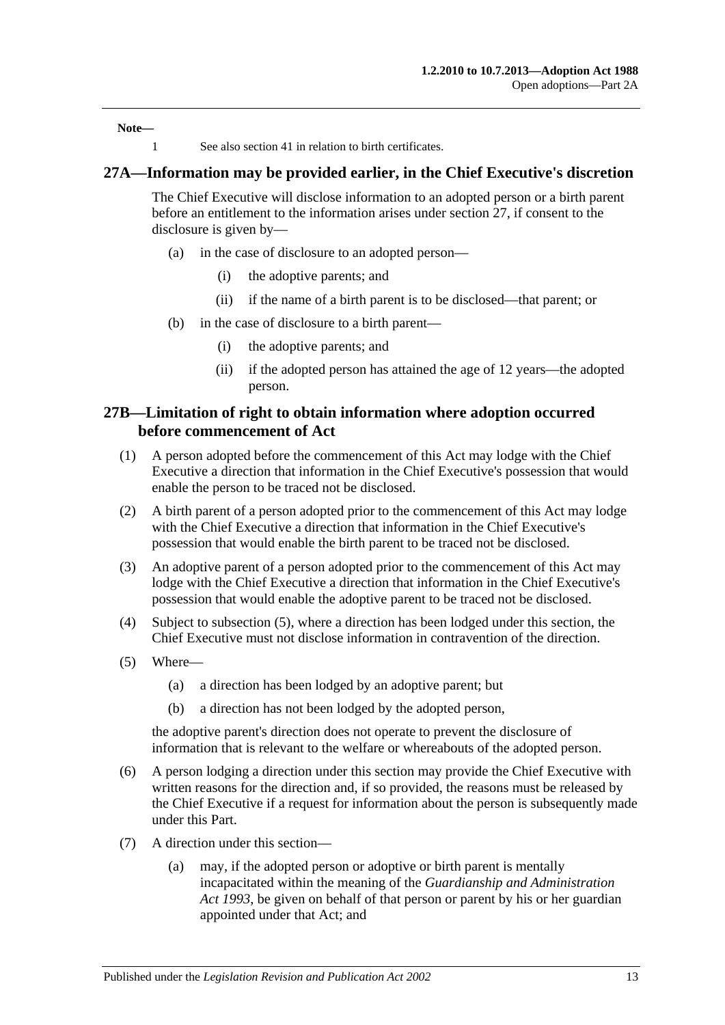**Note—**

1 See also [section](#page-16-1) 41 in relation to birth certificates.

#### <span id="page-12-0"></span>**27A—Information may be provided earlier, in the Chief Executive's discretion**

The Chief Executive will disclose information to an adopted person or a birth parent before an entitlement to the information arises under [section](#page-11-1) 27, if consent to the disclosure is given by—

- (a) in the case of disclosure to an adopted person—
	- (i) the adoptive parents; and
	- (ii) if the name of a birth parent is to be disclosed—that parent; or
- (b) in the case of disclosure to a birth parent—
	- (i) the adoptive parents; and
	- (ii) if the adopted person has attained the age of 12 years—the adopted person.

#### <span id="page-12-1"></span>**27B—Limitation of right to obtain information where adoption occurred before commencement of Act**

- (1) A person adopted before the commencement of this Act may lodge with the Chief Executive a direction that information in the Chief Executive's possession that would enable the person to be traced not be disclosed.
- (2) A birth parent of a person adopted prior to the commencement of this Act may lodge with the Chief Executive a direction that information in the Chief Executive's possession that would enable the birth parent to be traced not be disclosed.
- (3) An adoptive parent of a person adopted prior to the commencement of this Act may lodge with the Chief Executive a direction that information in the Chief Executive's possession that would enable the adoptive parent to be traced not be disclosed.
- (4) Subject to [subsection](#page-12-2) (5), where a direction has been lodged under this section, the Chief Executive must not disclose information in contravention of the direction.
- <span id="page-12-2"></span>(5) Where—
	- (a) a direction has been lodged by an adoptive parent; but
	- (b) a direction has not been lodged by the adopted person,

the adoptive parent's direction does not operate to prevent the disclosure of information that is relevant to the welfare or whereabouts of the adopted person.

- (6) A person lodging a direction under this section may provide the Chief Executive with written reasons for the direction and, if so provided, the reasons must be released by the Chief Executive if a request for information about the person is subsequently made under this Part.
- (7) A direction under this section—
	- (a) may, if the adopted person or adoptive or birth parent is mentally incapacitated within the meaning of the *[Guardianship and Administration](http://www.legislation.sa.gov.au/index.aspx?action=legref&type=act&legtitle=Guardianship%20and%20Administration%20Act%201993)  Act [1993](http://www.legislation.sa.gov.au/index.aspx?action=legref&type=act&legtitle=Guardianship%20and%20Administration%20Act%201993)*, be given on behalf of that person or parent by his or her guardian appointed under that Act; and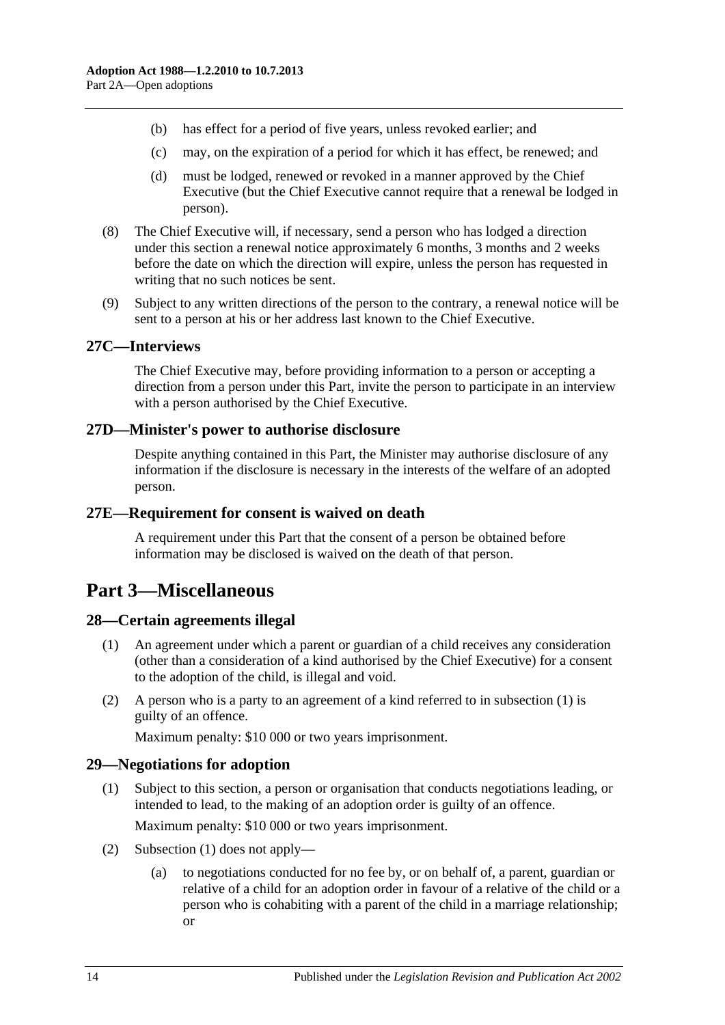- (b) has effect for a period of five years, unless revoked earlier; and
- (c) may, on the expiration of a period for which it has effect, be renewed; and
- (d) must be lodged, renewed or revoked in a manner approved by the Chief Executive (but the Chief Executive cannot require that a renewal be lodged in person).
- (8) The Chief Executive will, if necessary, send a person who has lodged a direction under this section a renewal notice approximately 6 months, 3 months and 2 weeks before the date on which the direction will expire, unless the person has requested in writing that no such notices be sent.
- (9) Subject to any written directions of the person to the contrary, a renewal notice will be sent to a person at his or her address last known to the Chief Executive.

#### <span id="page-13-0"></span>**27C—Interviews**

The Chief Executive may, before providing information to a person or accepting a direction from a person under this Part, invite the person to participate in an interview with a person authorised by the Chief Executive.

#### <span id="page-13-1"></span>**27D—Minister's power to authorise disclosure**

Despite anything contained in this Part, the Minister may authorise disclosure of any information if the disclosure is necessary in the interests of the welfare of an adopted person.

#### <span id="page-13-2"></span>**27E—Requirement for consent is waived on death**

A requirement under this Part that the consent of a person be obtained before information may be disclosed is waived on the death of that person.

# <span id="page-13-3"></span>**Part 3—Miscellaneous**

#### <span id="page-13-6"></span><span id="page-13-4"></span>**28—Certain agreements illegal**

- (1) An agreement under which a parent or guardian of a child receives any consideration (other than a consideration of a kind authorised by the Chief Executive) for a consent to the adoption of the child, is illegal and void.
- (2) A person who is a party to an agreement of a kind referred to in [subsection](#page-13-6) (1) is guilty of an offence.

Maximum penalty: \$10 000 or two years imprisonment.

#### <span id="page-13-7"></span><span id="page-13-5"></span>**29—Negotiations for adoption**

- (1) Subject to this section, a person or organisation that conducts negotiations leading, or intended to lead, to the making of an adoption order is guilty of an offence. Maximum penalty: \$10 000 or two years imprisonment.
- (2) [Subsection](#page-13-7) (1) does not apply—
	- (a) to negotiations conducted for no fee by, or on behalf of, a parent, guardian or relative of a child for an adoption order in favour of a relative of the child or a person who is cohabiting with a parent of the child in a marriage relationship; or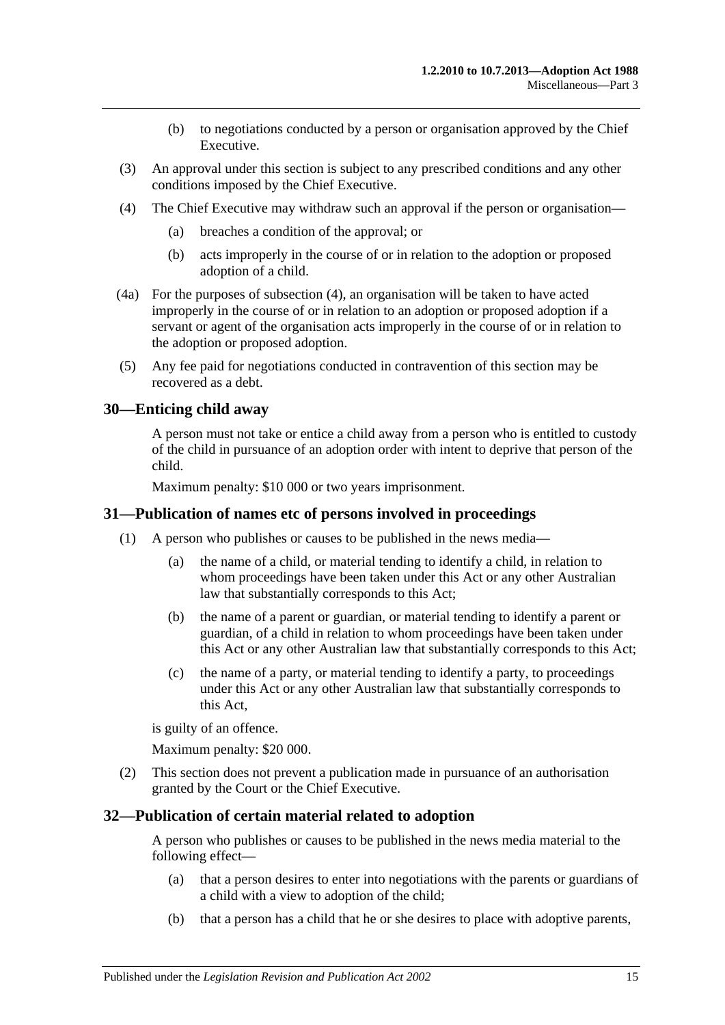- (b) to negotiations conducted by a person or organisation approved by the Chief Executive.
- (3) An approval under this section is subject to any prescribed conditions and any other conditions imposed by the Chief Executive.
- <span id="page-14-3"></span>(4) The Chief Executive may withdraw such an approval if the person or organisation—
	- (a) breaches a condition of the approval; or
	- (b) acts improperly in the course of or in relation to the adoption or proposed adoption of a child.
- (4a) For the purposes of [subsection](#page-14-3) (4), an organisation will be taken to have acted improperly in the course of or in relation to an adoption or proposed adoption if a servant or agent of the organisation acts improperly in the course of or in relation to the adoption or proposed adoption.
- (5) Any fee paid for negotiations conducted in contravention of this section may be recovered as a debt.

## <span id="page-14-0"></span>**30—Enticing child away**

A person must not take or entice a child away from a person who is entitled to custody of the child in pursuance of an adoption order with intent to deprive that person of the child.

Maximum penalty: \$10 000 or two years imprisonment.

#### <span id="page-14-1"></span>**31—Publication of names etc of persons involved in proceedings**

- (1) A person who publishes or causes to be published in the news media—
	- (a) the name of a child, or material tending to identify a child, in relation to whom proceedings have been taken under this Act or any other Australian law that substantially corresponds to this Act;
	- (b) the name of a parent or guardian, or material tending to identify a parent or guardian, of a child in relation to whom proceedings have been taken under this Act or any other Australian law that substantially corresponds to this Act;
	- (c) the name of a party, or material tending to identify a party, to proceedings under this Act or any other Australian law that substantially corresponds to this Act,

is guilty of an offence.

Maximum penalty: \$20 000.

(2) This section does not prevent a publication made in pursuance of an authorisation granted by the Court or the Chief Executive.

#### <span id="page-14-2"></span>**32—Publication of certain material related to adoption**

A person who publishes or causes to be published in the news media material to the following effect—

- (a) that a person desires to enter into negotiations with the parents or guardians of a child with a view to adoption of the child;
- (b) that a person has a child that he or she desires to place with adoptive parents,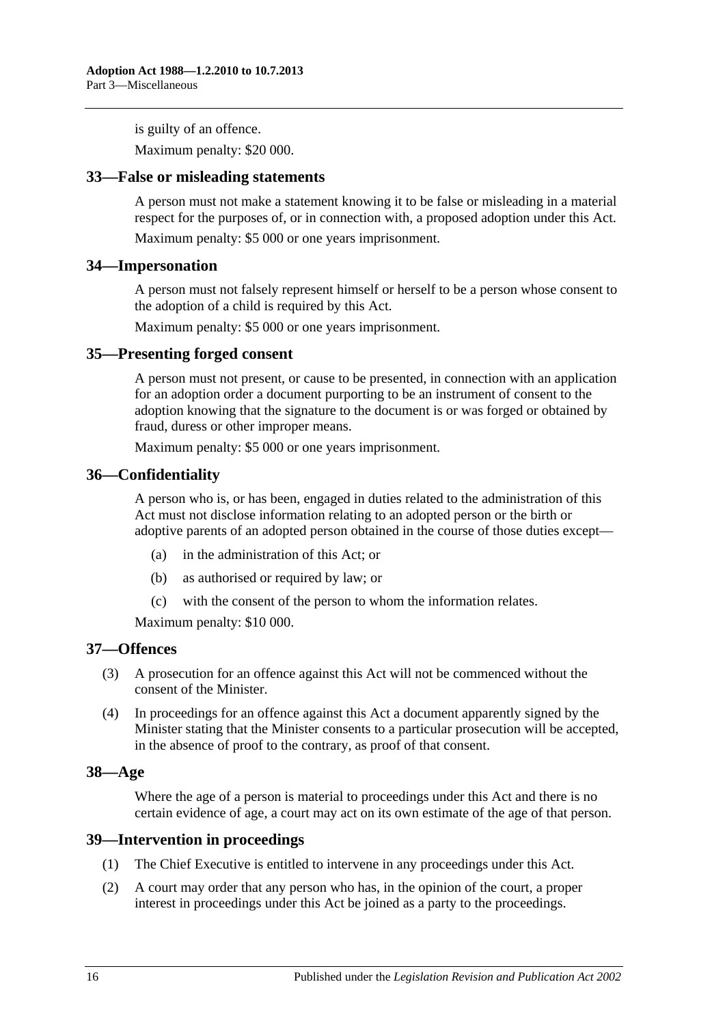is guilty of an offence.

Maximum penalty: \$20 000.

#### <span id="page-15-0"></span>**33—False or misleading statements**

A person must not make a statement knowing it to be false or misleading in a material respect for the purposes of, or in connection with, a proposed adoption under this Act.

Maximum penalty: \$5 000 or one years imprisonment.

#### <span id="page-15-1"></span>**34—Impersonation**

A person must not falsely represent himself or herself to be a person whose consent to the adoption of a child is required by this Act.

Maximum penalty: \$5 000 or one years imprisonment.

#### <span id="page-15-2"></span>**35—Presenting forged consent**

A person must not present, or cause to be presented, in connection with an application for an adoption order a document purporting to be an instrument of consent to the adoption knowing that the signature to the document is or was forged or obtained by fraud, duress or other improper means.

Maximum penalty: \$5 000 or one years imprisonment.

#### <span id="page-15-3"></span>**36—Confidentiality**

A person who is, or has been, engaged in duties related to the administration of this Act must not disclose information relating to an adopted person or the birth or adoptive parents of an adopted person obtained in the course of those duties except—

- (a) in the administration of this Act; or
- (b) as authorised or required by law; or
- (c) with the consent of the person to whom the information relates.

Maximum penalty: \$10 000.

#### <span id="page-15-4"></span>**37—Offences**

- (3) A prosecution for an offence against this Act will not be commenced without the consent of the Minister.
- (4) In proceedings for an offence against this Act a document apparently signed by the Minister stating that the Minister consents to a particular prosecution will be accepted, in the absence of proof to the contrary, as proof of that consent.

#### <span id="page-15-5"></span>**38—Age**

Where the age of a person is material to proceedings under this Act and there is no certain evidence of age, a court may act on its own estimate of the age of that person.

#### <span id="page-15-6"></span>**39—Intervention in proceedings**

- (1) The Chief Executive is entitled to intervene in any proceedings under this Act.
- (2) A court may order that any person who has, in the opinion of the court, a proper interest in proceedings under this Act be joined as a party to the proceedings.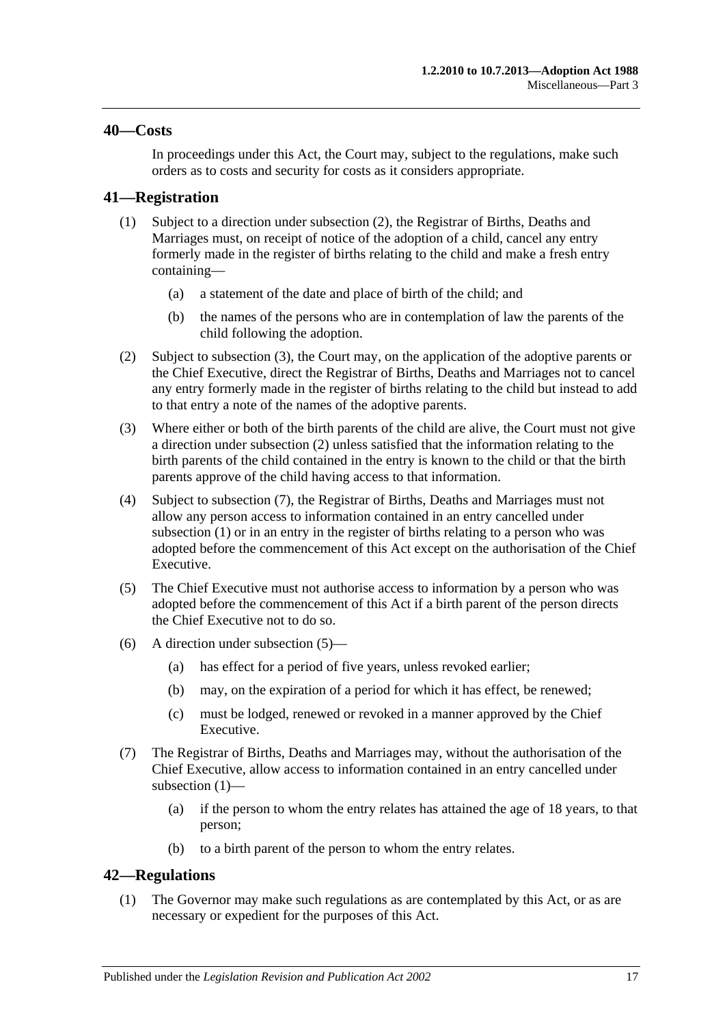#### <span id="page-16-0"></span>**40—Costs**

In proceedings under this Act, the Court may, subject to the regulations, make such orders as to costs and security for costs as it considers appropriate.

## <span id="page-16-6"></span><span id="page-16-1"></span>**41—Registration**

- (1) Subject to a direction under [subsection](#page-16-3) (2), the Registrar of Births, Deaths and Marriages must, on receipt of notice of the adoption of a child, cancel any entry formerly made in the register of births relating to the child and make a fresh entry containing—
	- (a) a statement of the date and place of birth of the child; and
	- (b) the names of the persons who are in contemplation of law the parents of the child following the adoption.
- <span id="page-16-3"></span>(2) Subject to [subsection](#page-16-4) (3), the Court may, on the application of the adoptive parents or the Chief Executive, direct the Registrar of Births, Deaths and Marriages not to cancel any entry formerly made in the register of births relating to the child but instead to add to that entry a note of the names of the adoptive parents.
- <span id="page-16-4"></span>(3) Where either or both of the birth parents of the child are alive, the Court must not give a direction under [subsection](#page-16-3) (2) unless satisfied that the information relating to the birth parents of the child contained in the entry is known to the child or that the birth parents approve of the child having access to that information.
- (4) Subject to [subsection](#page-16-5) (7), the Registrar of Births, Deaths and Marriages must not allow any person access to information contained in an entry cancelled under [subsection](#page-16-6) (1) or in an entry in the register of births relating to a person who was adopted before the commencement of this Act except on the authorisation of the Chief Executive.
- <span id="page-16-7"></span>(5) The Chief Executive must not authorise access to information by a person who was adopted before the commencement of this Act if a birth parent of the person directs the Chief Executive not to do so.
- (6) A direction under [subsection](#page-16-7) (5)—
	- (a) has effect for a period of five years, unless revoked earlier;
	- (b) may, on the expiration of a period for which it has effect, be renewed;
	- (c) must be lodged, renewed or revoked in a manner approved by the Chief Executive.
- <span id="page-16-5"></span>(7) The Registrar of Births, Deaths and Marriages may, without the authorisation of the Chief Executive, allow access to information contained in an entry cancelled under [subsection](#page-16-6) (1)—
	- (a) if the person to whom the entry relates has attained the age of 18 years, to that person;
	- (b) to a birth parent of the person to whom the entry relates.

## <span id="page-16-2"></span>**42—Regulations**

(1) The Governor may make such regulations as are contemplated by this Act, or as are necessary or expedient for the purposes of this Act.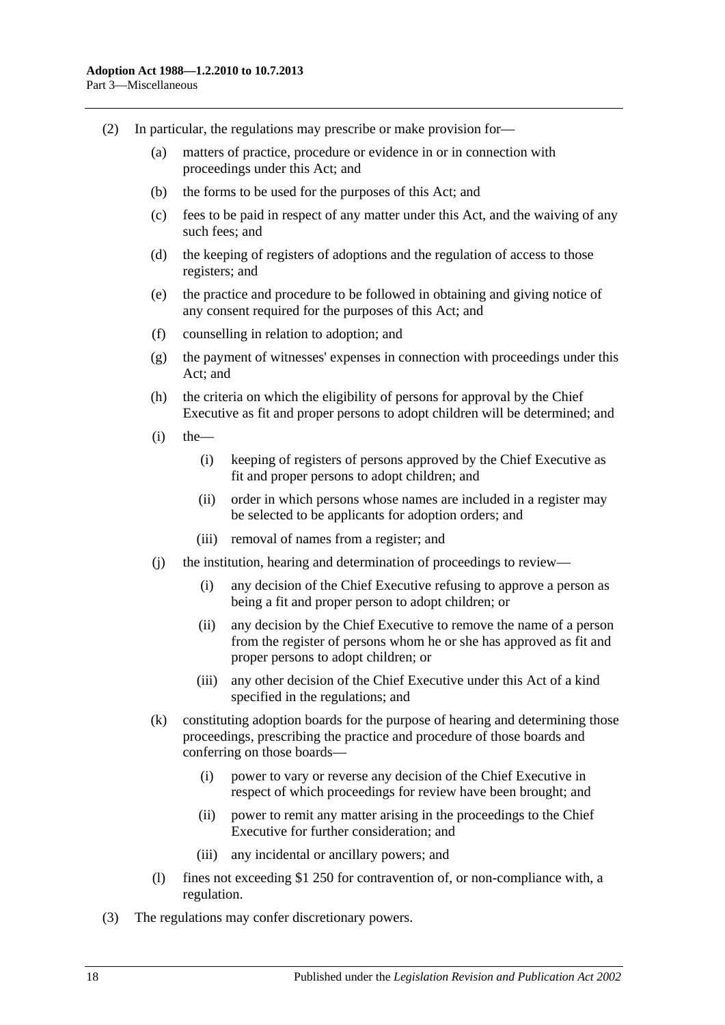- (2) In particular, the regulations may prescribe or make provision for—
	- (a) matters of practice, procedure or evidence in or in connection with proceedings under this Act; and
	- (b) the forms to be used for the purposes of this Act; and
	- (c) fees to be paid in respect of any matter under this Act, and the waiving of any such fees; and
	- (d) the keeping of registers of adoptions and the regulation of access to those registers; and
	- (e) the practice and procedure to be followed in obtaining and giving notice of any consent required for the purposes of this Act; and
	- (f) counselling in relation to adoption; and
	- (g) the payment of witnesses' expenses in connection with proceedings under this Act; and
	- (h) the criteria on which the eligibility of persons for approval by the Chief Executive as fit and proper persons to adopt children will be determined; and
	- $(i)$  the
		- (i) keeping of registers of persons approved by the Chief Executive as fit and proper persons to adopt children; and
		- (ii) order in which persons whose names are included in a register may be selected to be applicants for adoption orders; and
		- (iii) removal of names from a register; and
	- (j) the institution, hearing and determination of proceedings to review—
		- (i) any decision of the Chief Executive refusing to approve a person as being a fit and proper person to adopt children; or
		- (ii) any decision by the Chief Executive to remove the name of a person from the register of persons whom he or she has approved as fit and proper persons to adopt children; or
		- (iii) any other decision of the Chief Executive under this Act of a kind specified in the regulations; and
	- (k) constituting adoption boards for the purpose of hearing and determining those proceedings, prescribing the practice and procedure of those boards and conferring on those boards—
		- (i) power to vary or reverse any decision of the Chief Executive in respect of which proceedings for review have been brought; and
		- (ii) power to remit any matter arising in the proceedings to the Chief Executive for further consideration; and
		- (iii) any incidental or ancillary powers; and
	- (l) fines not exceeding \$1 250 for contravention of, or non-compliance with, a regulation.
- (3) The regulations may confer discretionary powers.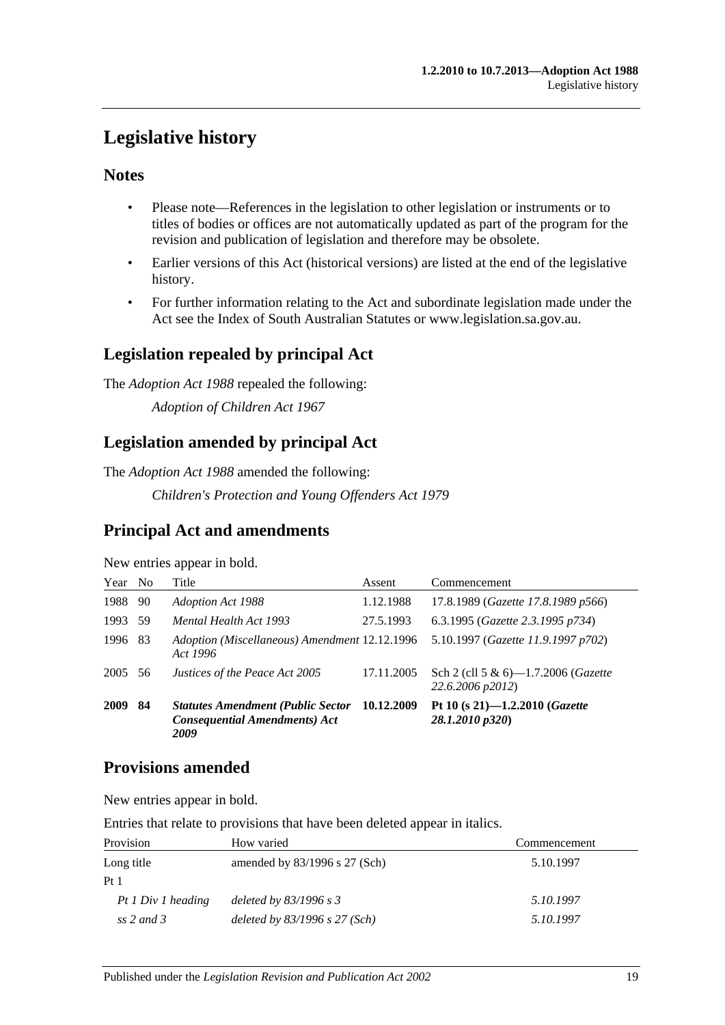# <span id="page-18-0"></span>**Legislative history**

# **Notes**

- Please note—References in the legislation to other legislation or instruments or to titles of bodies or offices are not automatically updated as part of the program for the revision and publication of legislation and therefore may be obsolete.
- Earlier versions of this Act (historical versions) are listed at the end of the legislative history.
- For further information relating to the Act and subordinate legislation made under the Act see the Index of South Australian Statutes or www.legislation.sa.gov.au.

# **Legislation repealed by principal Act**

The *Adoption Act 1988* repealed the following:

*Adoption of Children Act 1967*

# **Legislation amended by principal Act**

The *Adoption Act 1988* amended the following:

*Children's Protection and Young Offenders Act 1979*

# **Principal Act and amendments**

New entries appear in bold.

| Year No |     | Title                                                                                    | Assent     | Commencement                                                    |
|---------|-----|------------------------------------------------------------------------------------------|------------|-----------------------------------------------------------------|
| 1988    | 90  | Adoption Act 1988                                                                        | 1.12.1988  | 17.8.1989 (Gazette 17.8.1989 p566)                              |
| 1993    | 59  | Mental Health Act 1993                                                                   | 27.5.1993  | 6.3.1995 (Gazette 2.3.1995 p734)                                |
| 1996    | -83 | Adoption (Miscellaneous) Amendment 12.12.1996<br>Act 1996                                |            | 5.10.1997 (Gazette 11.9.1997 p702)                              |
| 2005 56 |     | Justices of the Peace Act 2005                                                           | 17.11.2005 | Sch 2 (cll 5 & 6)-1.7.2006 ( <i>Gazette</i><br>22.6.2006 p2012) |
| 2009    | 84  | <b>Statutes Amendment (Public Sector</b><br><b>Consequential Amendments) Act</b><br>2009 | 10.12.2009 | Pt 10 (s 21)-1.2.2010 (Gazette<br>28.1.2010 p320)               |

# **Provisions amended**

New entries appear in bold.

Entries that relate to provisions that have been deleted appear in italics.

| Provision          | How varied                      | Commencement |
|--------------------|---------------------------------|--------------|
| Long title         | amended by $83/1996$ s 27 (Sch) | 5.10.1997    |
| Pt <sub>1</sub>    |                                 |              |
| Pt 1 Div 1 heading | deleted by $83/1996$ s 3        | 5.10.1997    |
| ss 2 and 3         | deleted by $83/1996$ s 27 (Sch) | 5.10.1997    |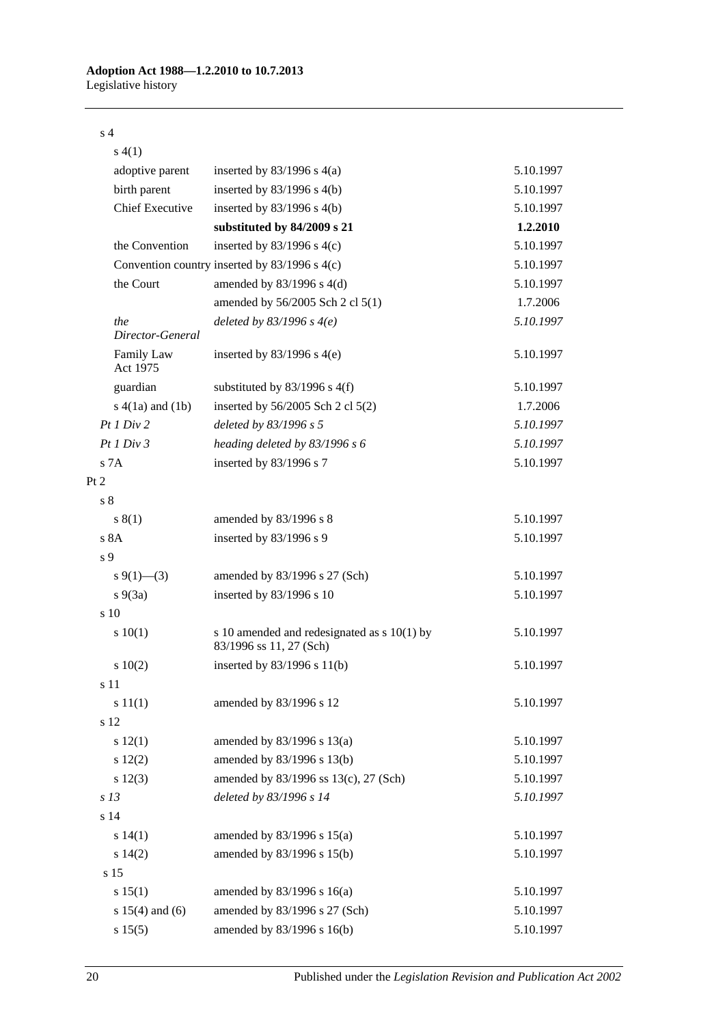#### s 4

| s(4(1)                  |                                                                          |           |
|-------------------------|--------------------------------------------------------------------------|-----------|
| adoptive parent         | inserted by $83/1996$ s $4(a)$                                           | 5.10.1997 |
| birth parent            | inserted by $83/1996$ s $4(b)$                                           | 5.10.1997 |
| <b>Chief Executive</b>  | inserted by $83/1996$ s $4(b)$                                           | 5.10.1997 |
|                         | substituted by 84/2009 s 21                                              | 1.2.2010  |
| the Convention          | inserted by $83/1996$ s $4(c)$                                           | 5.10.1997 |
|                         | Convention country inserted by $83/1996$ s $4(c)$                        | 5.10.1997 |
| the Court               | amended by 83/1996 s 4(d)                                                | 5.10.1997 |
|                         | amended by 56/2005 Sch 2 cl 5(1)                                         | 1.7.2006  |
| the<br>Director-General | deleted by $83/1996$ s $4(e)$                                            | 5.10.1997 |
| Family Law<br>Act 1975  | inserted by $83/1996$ s $4(e)$                                           | 5.10.1997 |
| guardian                | substituted by $83/1996$ s $4(f)$                                        | 5.10.1997 |
| $s(4(1a)$ and $(1b)$    | inserted by $56/2005$ Sch 2 cl $5(2)$                                    | 1.7.2006  |
| Pt1 Div2                | deleted by 83/1996 s 5                                                   | 5.10.1997 |
| Pt1 Div3                | heading deleted by 83/1996 s 6                                           | 5.10.1997 |
| s 7A                    | inserted by 83/1996 s 7                                                  | 5.10.1997 |
| Pt 2                    |                                                                          |           |
| s <sub>8</sub>          |                                                                          |           |
| s(1)                    | amended by 83/1996 s 8                                                   | 5.10.1997 |
| s 8A                    | inserted by 83/1996 s 9                                                  | 5.10.1997 |
| s 9                     |                                                                          |           |
| s 9(1)–(3)              | amended by 83/1996 s 27 (Sch)                                            | 5.10.1997 |
| $s\ 9(3a)$              | inserted by 83/1996 s 10                                                 | 5.10.1997 |
| $\frac{10}{2}$          |                                                                          |           |
| 10(1)                   | s 10 amended and redesignated as $s$ 10(1) by<br>83/1996 ss 11, 27 (Sch) | 5.10.1997 |
| 10(2)                   | inserted by $83/1996$ s $11(b)$                                          | 5.10.1997 |
| s 11                    |                                                                          |           |
| s 11(1)                 | amended by 83/1996 s 12                                                  | 5.10.1997 |
| s 12                    |                                                                          |           |
| s 12(1)                 | amended by $83/1996$ s $13(a)$                                           | 5.10.1997 |
| 12(2)                   | amended by 83/1996 s 13(b)                                               | 5.10.1997 |
| $s\ 12(3)$              | amended by 83/1996 ss 13(c), 27 (Sch)                                    | 5.10.1997 |
| s <sub>13</sub>         | deleted by 83/1996 s 14                                                  | 5.10.1997 |
| s 14                    |                                                                          |           |
| s 14(1)                 | amended by 83/1996 s 15(a)                                               | 5.10.1997 |
| s 14(2)                 | amended by 83/1996 s 15(b)                                               | 5.10.1997 |
| s 15                    |                                                                          |           |
| s 15(1)                 | amended by $83/1996$ s $16(a)$                                           | 5.10.1997 |
| s $15(4)$ and $(6)$     | amended by 83/1996 s 27 (Sch)                                            | 5.10.1997 |
| s 15(5)                 | amended by 83/1996 s 16(b)                                               | 5.10.1997 |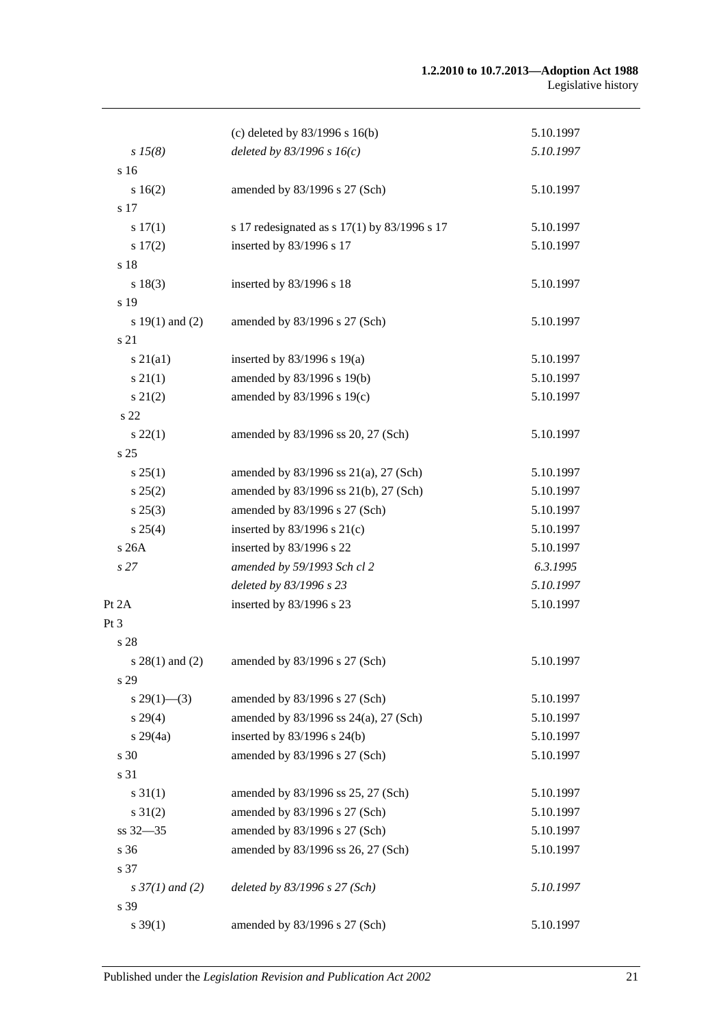#### **1.2.2010 to 10.7.2013—Adoption Act 1988** Legislative history

|                          | (c) deleted by $83/1996$ s $16(b)$           | 5.10.1997 |
|--------------------------|----------------------------------------------|-----------|
| $s\,15(8)$               | deleted by $83/1996$ s $16(c)$               | 5.10.1997 |
| s 16                     |                                              |           |
| s 16(2)                  | amended by 83/1996 s 27 (Sch)                | 5.10.1997 |
| s 17                     |                                              |           |
| s 17(1)                  | s 17 redesignated as s 17(1) by 83/1996 s 17 | 5.10.1997 |
| s 17(2)                  | inserted by 83/1996 s 17                     | 5.10.1997 |
| s 18                     |                                              |           |
| s 18(3)                  | inserted by 83/1996 s 18                     | 5.10.1997 |
| s 19                     |                                              |           |
| s $19(1)$ and $(2)$      | amended by 83/1996 s 27 (Sch)                | 5.10.1997 |
| s 21                     |                                              |           |
| $s\ 21(a1)$              | inserted by $83/1996$ s $19(a)$              | 5.10.1997 |
| $s \, 21(1)$             | amended by 83/1996 s 19(b)                   | 5.10.1997 |
| $s\ 21(2)$               | amended by 83/1996 s 19(c)                   | 5.10.1997 |
| s 22                     |                                              |           |
| $s\,22(1)$               | amended by 83/1996 ss 20, 27 (Sch)           | 5.10.1997 |
| s <sub>25</sub>          |                                              |           |
| s 25(1)                  | amended by 83/1996 ss 21(a), 27 (Sch)        | 5.10.1997 |
| s 25(2)                  | amended by 83/1996 ss 21(b), 27 (Sch)        | 5.10.1997 |
| $s\,25(3)$               | amended by 83/1996 s 27 (Sch)                | 5.10.1997 |
| s 25(4)                  | inserted by $83/1996$ s $21(c)$              | 5.10.1997 |
| s 26A                    | inserted by 83/1996 s 22                     | 5.10.1997 |
| s27                      | amended by 59/1993 Sch cl 2                  | 6.3.1995  |
|                          | deleted by 83/1996 s 23                      | 5.10.1997 |
| Pt 2A                    | inserted by 83/1996 s 23                     | 5.10.1997 |
| Pt 3                     |                                              |           |
| s 28                     |                                              |           |
| s $28(1)$ and $(2)$      | amended by 83/1996 s 27 (Sch)                | 5.10.1997 |
| s 29                     |                                              |           |
| $s\,29(1)$ —(3)          | amended by 83/1996 s 27 (Sch)                | 5.10.1997 |
| $s\,29(4)$               | amended by 83/1996 ss 24(a), 27 (Sch)        | 5.10.1997 |
| $s\,29(4a)$              | inserted by 83/1996 s 24(b)                  | 5.10.1997 |
| s 30                     | amended by 83/1996 s 27 (Sch)                | 5.10.1997 |
| s 31                     |                                              |           |
| $s \, 31(1)$             | amended by 83/1996 ss 25, 27 (Sch)           | 5.10.1997 |
| $s \, 31(2)$             | amended by 83/1996 s 27 (Sch)                | 5.10.1997 |
| ss 32-35                 | amended by 83/1996 s 27 (Sch)                | 5.10.1997 |
| s 36                     | amended by 83/1996 ss 26, 27 (Sch)           | 5.10.1997 |
| s 37                     |                                              |           |
| $s \frac{37}{1}$ and (2) | deleted by 83/1996 s 27 (Sch)                | 5.10.1997 |
| s 39                     |                                              |           |
| $s \, 39(1)$             | amended by 83/1996 s 27 (Sch)                | 5.10.1997 |
|                          |                                              |           |